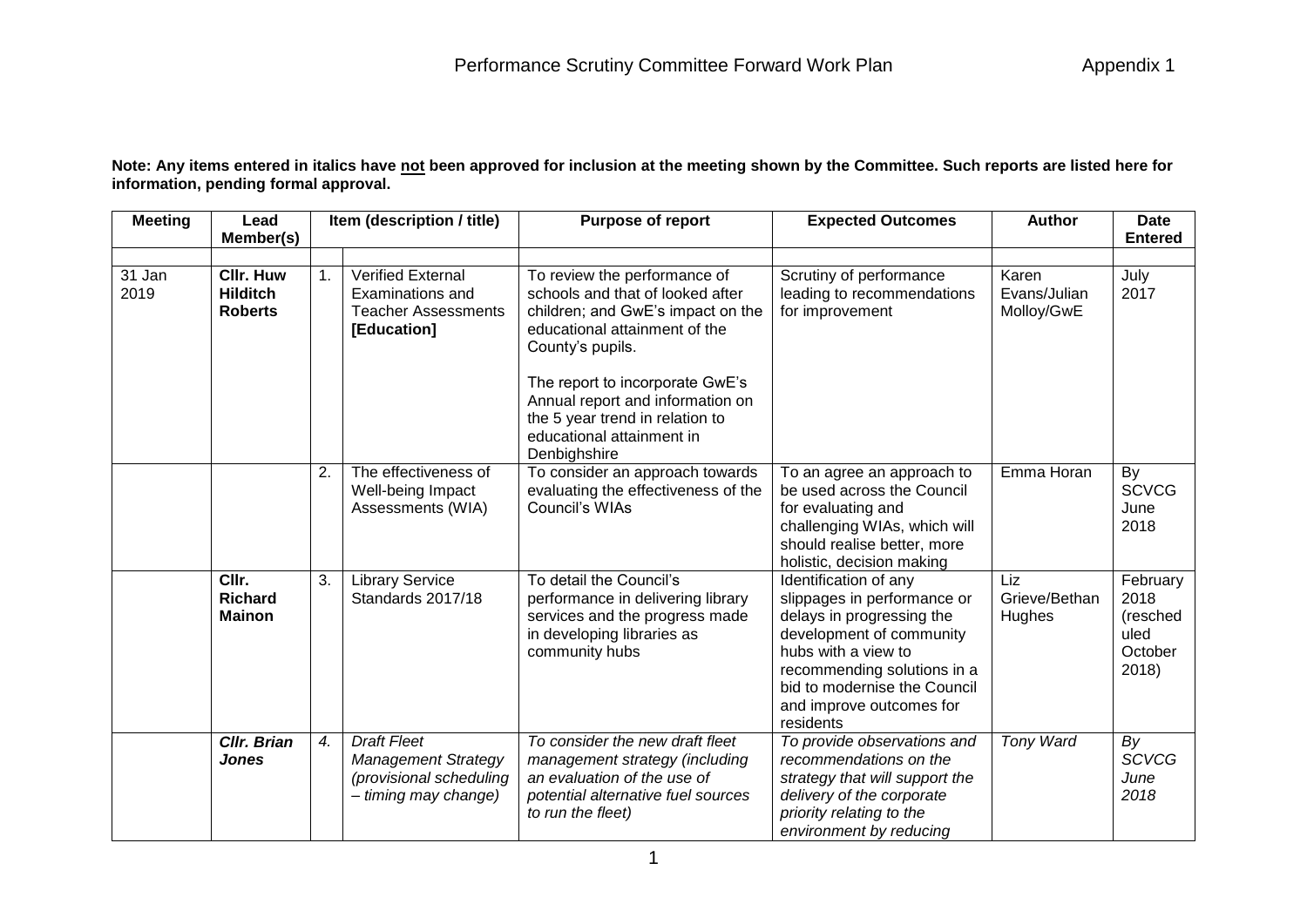**Note: Any items entered in italics have not been approved for inclusion at the meeting shown by the Committee. Such reports are listed here for information, pending formal approval.**

| <b>Meeting</b> | Lead                                                  | Item (description / title) |                                                                                                     | <b>Purpose of report</b>                                                                                                                                                                                                                                                                                          | <b>Expected Outcomes</b>                                                                                                                                                                                                                     | <b>Author</b>                       | Date                                                     |
|----------------|-------------------------------------------------------|----------------------------|-----------------------------------------------------------------------------------------------------|-------------------------------------------------------------------------------------------------------------------------------------------------------------------------------------------------------------------------------------------------------------------------------------------------------------------|----------------------------------------------------------------------------------------------------------------------------------------------------------------------------------------------------------------------------------------------|-------------------------------------|----------------------------------------------------------|
|                | Member(s)                                             |                            |                                                                                                     |                                                                                                                                                                                                                                                                                                                   |                                                                                                                                                                                                                                              |                                     | <b>Entered</b>                                           |
| 31 Jan<br>2019 | <b>Cllr. Huw</b><br><b>Hilditch</b><br><b>Roberts</b> | 1 <sub>1</sub>             | Verified External<br>Examinations and<br><b>Teacher Assessments</b><br>[Education]                  | To review the performance of<br>schools and that of looked after<br>children; and GwE's impact on the<br>educational attainment of the<br>County's pupils.<br>The report to incorporate GwE's<br>Annual report and information on<br>the 5 year trend in relation to<br>educational attainment in<br>Denbighshire | Scrutiny of performance<br>leading to recommendations<br>for improvement                                                                                                                                                                     | Karen<br>Evans/Julian<br>Molloy/GwE | July<br>2017                                             |
|                |                                                       | 2.                         | The effectiveness of<br>Well-being Impact<br>Assessments (WIA)                                      | To consider an approach towards<br>evaluating the effectiveness of the<br>Council's WIAs                                                                                                                                                                                                                          | To an agree an approach to<br>be used across the Council<br>for evaluating and<br>challenging WIAs, which will<br>should realise better, more<br>holistic, decision making                                                                   | Emma Horan                          | By<br><b>SCVCG</b><br>June<br>2018                       |
|                | CIIr.<br><b>Richard</b><br><b>Mainon</b>              | 3.                         | <b>Library Service</b><br>Standards 2017/18                                                         | To detail the Council's<br>performance in delivering library<br>services and the progress made<br>in developing libraries as<br>community hubs                                                                                                                                                                    | Identification of any<br>slippages in performance or<br>delays in progressing the<br>development of community<br>hubs with a view to<br>recommending solutions in a<br>bid to modernise the Council<br>and improve outcomes for<br>residents | Liz<br>Grieve/Bethan<br>Hughes      | February<br>2018<br>(resched<br>uled<br>October<br>2018) |
|                | <b>CIIr. Brian</b><br><b>Jones</b>                    | 4.                         | <b>Draft Fleet</b><br><b>Management Strategy</b><br>(provisional scheduling<br>- timing may change) | To consider the new draft fleet<br>management strategy (including<br>an evaluation of the use of<br>potential alternative fuel sources<br>to run the fleet)                                                                                                                                                       | To provide observations and<br>recommendations on the<br>strategy that will support the<br>delivery of the corporate<br>priority relating to the<br>environment by reducing                                                                  | <b>Tony Ward</b>                    | By<br><b>SCVCG</b><br>June<br>2018                       |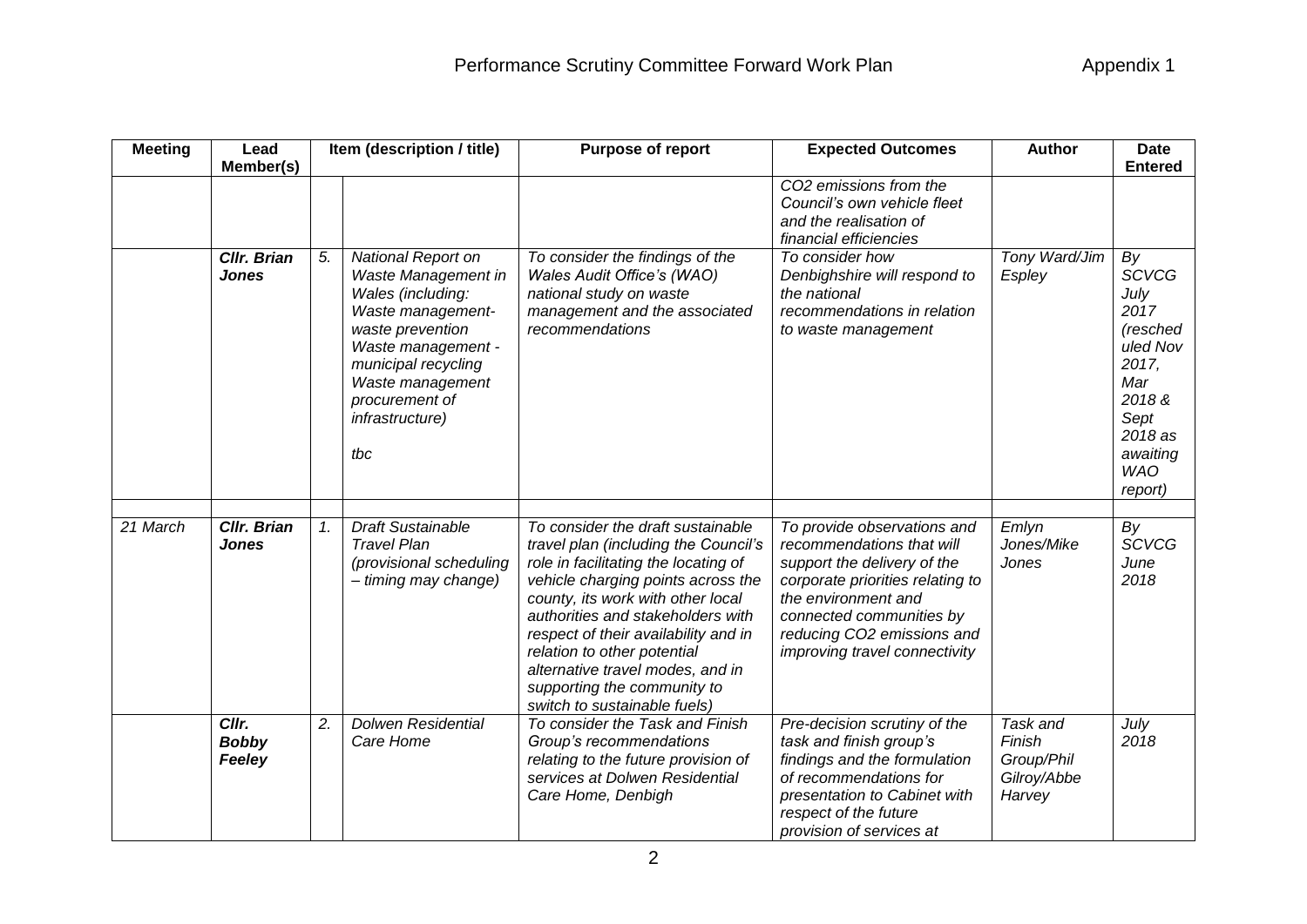| <b>Meeting</b> | Lead<br>Member(s)                  |                | Item (description / title)                                                                                                                                                                                                  | Purpose of report                                                                                                                                                                                                                                                                                                                                                                                           | <b>Expected Outcomes</b>                                                                                                                                                                                                                      | <b>Author</b>                                             | <b>Date</b><br><b>Entered</b>                                                                                                               |
|----------------|------------------------------------|----------------|-----------------------------------------------------------------------------------------------------------------------------------------------------------------------------------------------------------------------------|-------------------------------------------------------------------------------------------------------------------------------------------------------------------------------------------------------------------------------------------------------------------------------------------------------------------------------------------------------------------------------------------------------------|-----------------------------------------------------------------------------------------------------------------------------------------------------------------------------------------------------------------------------------------------|-----------------------------------------------------------|---------------------------------------------------------------------------------------------------------------------------------------------|
|                |                                    |                |                                                                                                                                                                                                                             |                                                                                                                                                                                                                                                                                                                                                                                                             | CO2 emissions from the<br>Council's own vehicle fleet<br>and the realisation of<br>financial efficiencies                                                                                                                                     |                                                           |                                                                                                                                             |
|                | <b>Cllr. Brian</b><br><b>Jones</b> | 5.             | National Report on<br>Waste Management in<br>Wales (including:<br>Waste management-<br>waste prevention<br>Waste management -<br>municipal recycling<br>Waste management<br>procurement of<br><i>infrastructure)</i><br>tbc | To consider the findings of the<br>Wales Audit Office's (WAO)<br>national study on waste<br>management and the associated<br>recommendations                                                                                                                                                                                                                                                                | To consider how<br>Denbighshire will respond to<br>the national<br>recommendations in relation<br>to waste management                                                                                                                         | Tony Ward/Jim<br>Espley                                   | By<br><b>SCVCG</b><br>July<br>2017<br>(resched<br>uled Nov<br>2017,<br>Mar<br>2018&<br>Sept<br>2018 as<br>awaiting<br><b>WAO</b><br>report) |
| 21 March       | <b>Cllr. Brian</b><br><b>Jones</b> | $\mathbf{1}$ . | <b>Draft Sustainable</b><br><b>Travel Plan</b><br>(provisional scheduling<br>- timing may change)                                                                                                                           | To consider the draft sustainable<br>travel plan (including the Council's<br>role in facilitating the locating of<br>vehicle charging points across the<br>county, its work with other local<br>authorities and stakeholders with<br>respect of their availability and in<br>relation to other potential<br>alternative travel modes, and in<br>supporting the community to<br>switch to sustainable fuels) | To provide observations and<br>recommendations that will<br>support the delivery of the<br>corporate priorities relating to<br>the environment and<br>connected communities by<br>reducing CO2 emissions and<br>improving travel connectivity | Emlyn<br>Jones/Mike<br>Jones                              | By<br><b>SCVCG</b><br>June<br>2018                                                                                                          |
|                | Cllr.<br><b>Bobby</b><br>Feeley    | 2.             | Dolwen Residential<br>Care Home                                                                                                                                                                                             | To consider the Task and Finish<br>Group's recommendations<br>relating to the future provision of<br>services at Dolwen Residential<br>Care Home, Denbigh                                                                                                                                                                                                                                                   | Pre-decision scrutiny of the<br>task and finish group's<br>findings and the formulation<br>of recommendations for<br>presentation to Cabinet with<br>respect of the future<br>provision of services at                                        | Task and<br>Finish<br>Group/Phil<br>Gilroy/Abbe<br>Harvey | July<br>2018                                                                                                                                |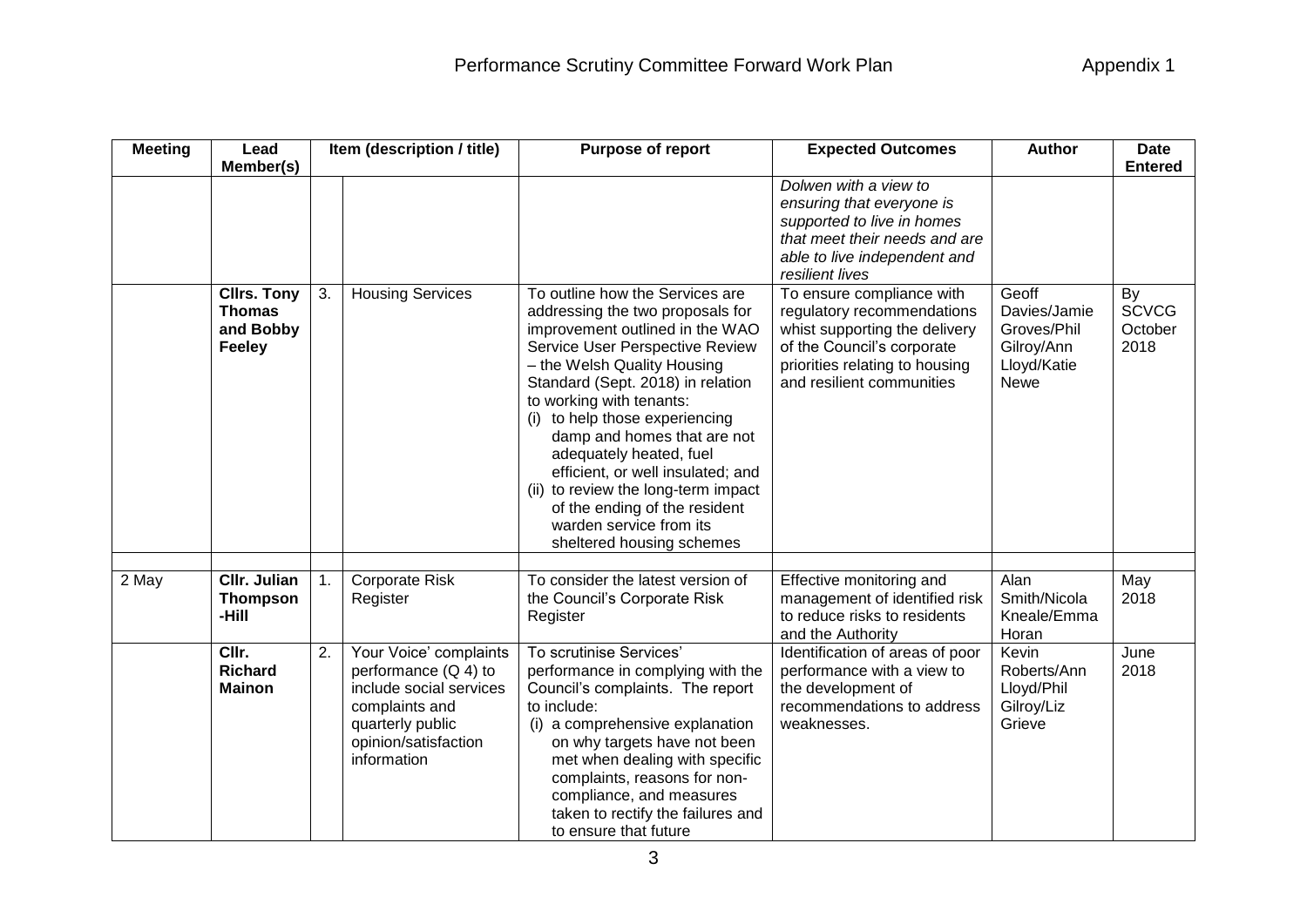| <b>Meeting</b> | Lead                                                              |    | Item (description / title)                                                                                                                               | Purpose of report                                                                                                                                                                                                                                                                                                                                                                                                                                                                                          | <b>Expected Outcomes</b>                                                                                                                                                              | <b>Author</b>                                                                    | <b>Date</b>                           |
|----------------|-------------------------------------------------------------------|----|----------------------------------------------------------------------------------------------------------------------------------------------------------|------------------------------------------------------------------------------------------------------------------------------------------------------------------------------------------------------------------------------------------------------------------------------------------------------------------------------------------------------------------------------------------------------------------------------------------------------------------------------------------------------------|---------------------------------------------------------------------------------------------------------------------------------------------------------------------------------------|----------------------------------------------------------------------------------|---------------------------------------|
|                | Member(s)                                                         |    |                                                                                                                                                          |                                                                                                                                                                                                                                                                                                                                                                                                                                                                                                            | Dolwen with a view to<br>ensuring that everyone is<br>supported to live in homes<br>that meet their needs and are<br>able to live independent and<br>resilient lives                  |                                                                                  | <b>Entered</b>                        |
|                | <b>Cllrs. Tony</b><br><b>Thomas</b><br>and Bobby<br><b>Feeley</b> | 3. | <b>Housing Services</b>                                                                                                                                  | To outline how the Services are<br>addressing the two proposals for<br>improvement outlined in the WAO<br>Service User Perspective Review<br>- the Welsh Quality Housing<br>Standard (Sept. 2018) in relation<br>to working with tenants:<br>(i) to help those experiencing<br>damp and homes that are not<br>adequately heated, fuel<br>efficient, or well insulated; and<br>(ii) to review the long-term impact<br>of the ending of the resident<br>warden service from its<br>sheltered housing schemes | To ensure compliance with<br>regulatory recommendations<br>whist supporting the delivery<br>of the Council's corporate<br>priorities relating to housing<br>and resilient communities | Geoff<br>Davies/Jamie<br>Groves/Phil<br>Gilroy/Ann<br>Lloyd/Katie<br><b>Newe</b> | By<br><b>SCVCG</b><br>October<br>2018 |
| 2 May          | Cllr. Julian<br><b>Thompson</b><br>-Hill                          | 1. | <b>Corporate Risk</b><br>Register                                                                                                                        | To consider the latest version of<br>the Council's Corporate Risk<br>Register                                                                                                                                                                                                                                                                                                                                                                                                                              | Effective monitoring and<br>management of identified risk<br>to reduce risks to residents<br>and the Authority                                                                        | Alan<br>Smith/Nicola<br>Kneale/Emma<br>Horan                                     | May<br>2018                           |
|                | CIIr.<br><b>Richard</b><br><b>Mainon</b>                          | 2. | Your Voice' complaints<br>performance $(Q 4)$ to<br>include social services<br>complaints and<br>quarterly public<br>opinion/satisfaction<br>information | To scrutinise Services'<br>performance in complying with the<br>Council's complaints. The report<br>to include:<br>(i) a comprehensive explanation<br>on why targets have not been<br>met when dealing with specific<br>complaints, reasons for non-<br>compliance, and measures<br>taken to rectify the failures and<br>to ensure that future                                                                                                                                                             | Identification of areas of poor<br>performance with a view to<br>the development of<br>recommendations to address<br>weaknesses.                                                      | Kevin<br>Roberts/Ann<br>Lloyd/Phil<br>Gilroy/Liz<br>Grieve                       | June<br>2018                          |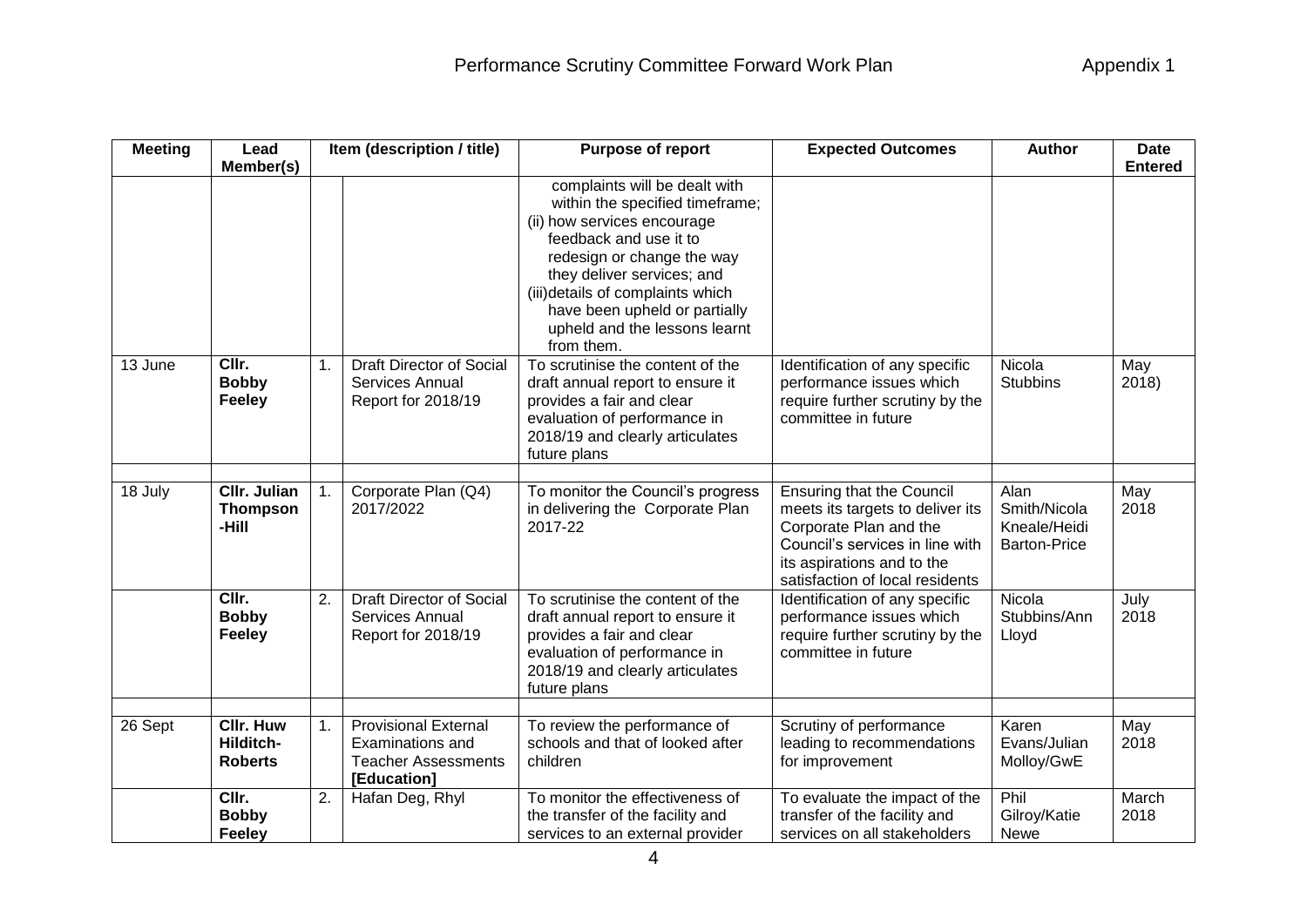| <b>Meeting</b> | Lead<br>Member(s)                               | Item (description / title) |                                                                                              | Purpose of report                                                                                                                                                                                                                                                                                          | <b>Expected Outcomes</b>                                                                                                                                                                           | <b>Author</b>                                               | <b>Date</b><br><b>Entered</b> |  |
|----------------|-------------------------------------------------|----------------------------|----------------------------------------------------------------------------------------------|------------------------------------------------------------------------------------------------------------------------------------------------------------------------------------------------------------------------------------------------------------------------------------------------------------|----------------------------------------------------------------------------------------------------------------------------------------------------------------------------------------------------|-------------------------------------------------------------|-------------------------------|--|
|                |                                                 |                            |                                                                                              | complaints will be dealt with<br>within the specified timeframe;<br>(ii) how services encourage<br>feedback and use it to<br>redesign or change the way<br>they deliver services; and<br>(iii) details of complaints which<br>have been upheld or partially<br>upheld and the lessons learnt<br>from them. |                                                                                                                                                                                                    |                                                             |                               |  |
| 13 June        | CIIr.<br><b>Bobby</b><br>Feeley                 | 1.                         | <b>Draft Director of Social</b><br>Services Annual<br>Report for 2018/19                     | To scrutinise the content of the<br>draft annual report to ensure it<br>provides a fair and clear<br>evaluation of performance in<br>2018/19 and clearly articulates<br>future plans                                                                                                                       | Identification of any specific<br>performance issues which<br>require further scrutiny by the<br>committee in future                                                                               | Nicola<br><b>Stubbins</b>                                   | May<br>2018                   |  |
|                |                                                 |                            |                                                                                              |                                                                                                                                                                                                                                                                                                            |                                                                                                                                                                                                    |                                                             |                               |  |
| 18 July        | <b>CIIr. Julian</b><br><b>Thompson</b><br>-Hill | 1.                         | Corporate Plan (Q4)<br>2017/2022                                                             | To monitor the Council's progress<br>in delivering the Corporate Plan<br>2017-22                                                                                                                                                                                                                           | <b>Ensuring that the Council</b><br>meets its targets to deliver its<br>Corporate Plan and the<br>Council's services in line with<br>its aspirations and to the<br>satisfaction of local residents | Alan<br>Smith/Nicola<br>Kneale/Heidi<br><b>Barton-Price</b> | May<br>2018                   |  |
|                | CIIr.<br><b>Bobby</b><br><b>Feeley</b>          | 2.                         | <b>Draft Director of Social</b><br>Services Annual<br>Report for 2018/19                     | To scrutinise the content of the<br>draft annual report to ensure it<br>provides a fair and clear<br>evaluation of performance in<br>2018/19 and clearly articulates<br>future plans                                                                                                                       | Identification of any specific<br>performance issues which<br>require further scrutiny by the<br>committee in future                                                                               | Nicola<br>Stubbins/Ann<br>Lloyd                             | July<br>2018                  |  |
| 26 Sept        | <b>Cllr. Huw</b><br>Hilditch-<br><b>Roberts</b> | 1.                         | <b>Provisional External</b><br>Examinations and<br><b>Teacher Assessments</b><br>[Education] | To review the performance of<br>schools and that of looked after<br>children                                                                                                                                                                                                                               | Scrutiny of performance<br>leading to recommendations<br>for improvement                                                                                                                           | Karen<br>Evans/Julian<br>Molloy/GwE                         | May<br>2018                   |  |
|                | CIIr.<br><b>Bobby</b><br>Feeley                 | 2.                         | Hafan Deg, Rhyl                                                                              | To monitor the effectiveness of<br>the transfer of the facility and<br>services to an external provider                                                                                                                                                                                                    | To evaluate the impact of the<br>transfer of the facility and<br>services on all stakeholders                                                                                                      | Phil<br>Gilroy/Katie<br>Newe                                | March<br>2018                 |  |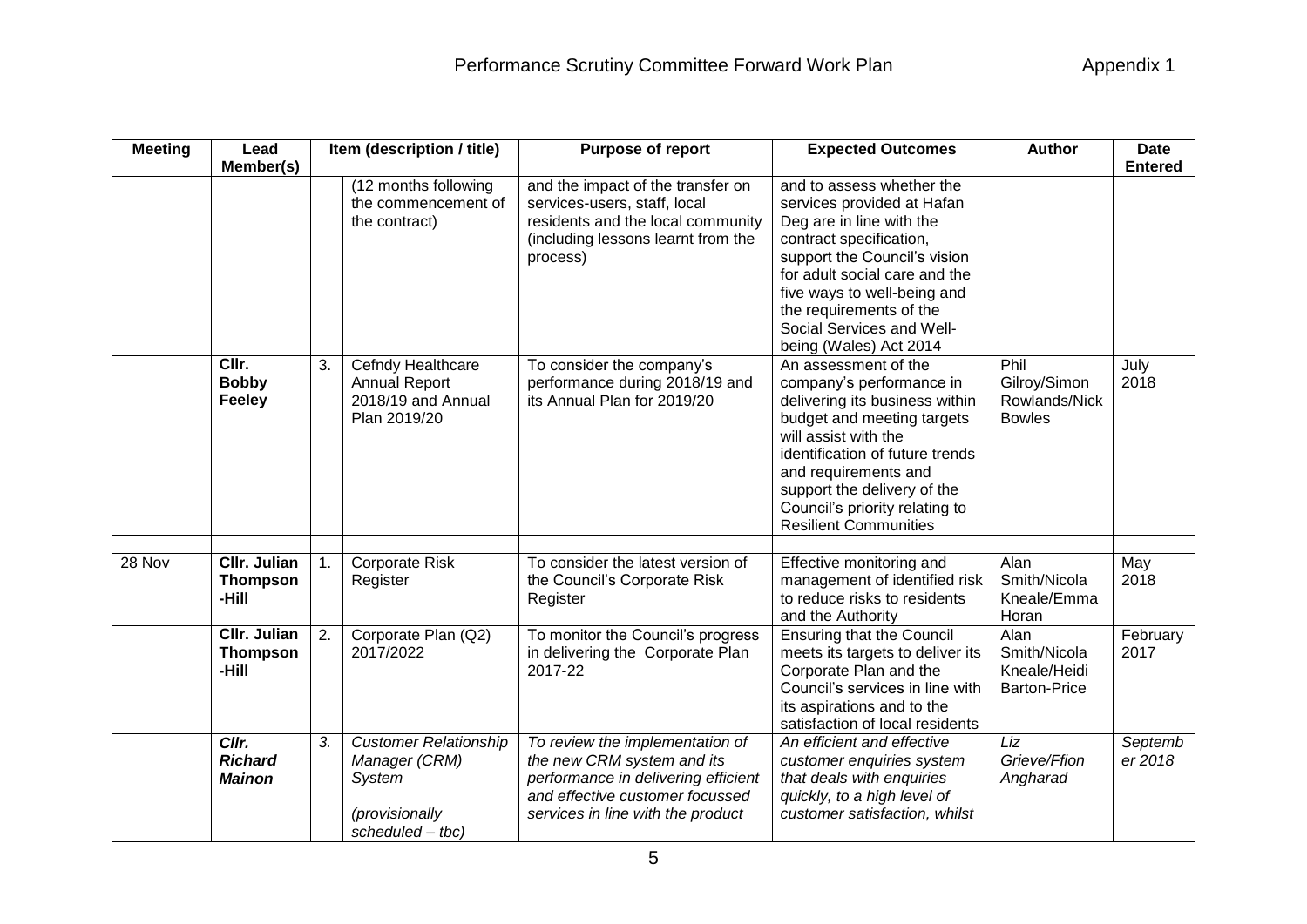| <b>Meeting</b> | Lead<br>Member(s)                               |    | Item (description / title)                                                                    | Purpose of report                                                                                                                                                            | <b>Expected Outcomes</b>                                                                                                                                                                                                                                                                             | <b>Author</b>                                               | <b>Date</b><br><b>Entered</b> |
|----------------|-------------------------------------------------|----|-----------------------------------------------------------------------------------------------|------------------------------------------------------------------------------------------------------------------------------------------------------------------------------|------------------------------------------------------------------------------------------------------------------------------------------------------------------------------------------------------------------------------------------------------------------------------------------------------|-------------------------------------------------------------|-------------------------------|
|                |                                                 |    | (12 months following<br>the commencement of<br>the contract)                                  | and the impact of the transfer on<br>services-users, staff, local<br>residents and the local community<br>(including lessons learnt from the<br>process)                     | and to assess whether the<br>services provided at Hafan<br>Deg are in line with the<br>contract specification,<br>support the Council's vision<br>for adult social care and the<br>five ways to well-being and<br>the requirements of the<br>Social Services and Well-<br>being (Wales) Act 2014     |                                                             |                               |
|                | CIIr.<br><b>Bobby</b><br><b>Feeley</b>          | 3. | Cefndy Healthcare<br><b>Annual Report</b><br>2018/19 and Annual<br>Plan 2019/20               | To consider the company's<br>performance during 2018/19 and<br>its Annual Plan for 2019/20                                                                                   | An assessment of the<br>company's performance in<br>delivering its business within<br>budget and meeting targets<br>will assist with the<br>identification of future trends<br>and requirements and<br>support the delivery of the<br>Council's priority relating to<br><b>Resilient Communities</b> | Phil<br>Gilroy/Simon<br>Rowlands/Nick<br><b>Bowles</b>      | July<br>2018                  |
| 28 Nov         | CIIr. Julian<br><b>Thompson</b><br>-Hill        | 1. | <b>Corporate Risk</b><br>Register                                                             | To consider the latest version of<br>the Council's Corporate Risk<br>Register                                                                                                | Effective monitoring and<br>management of identified risk<br>to reduce risks to residents<br>and the Authority                                                                                                                                                                                       | Alan<br>Smith/Nicola<br>Kneale/Emma<br>Horan                | May<br>2018                   |
|                | <b>CIIr. Julian</b><br><b>Thompson</b><br>-Hill | 2. | Corporate Plan (Q2)<br>2017/2022                                                              | To monitor the Council's progress<br>in delivering the Corporate Plan<br>2017-22                                                                                             | <b>Ensuring that the Council</b><br>meets its targets to deliver its<br>Corporate Plan and the<br>Council's services in line with<br>its aspirations and to the<br>satisfaction of local residents                                                                                                   | Alan<br>Smith/Nicola<br>Kneale/Heidi<br><b>Barton-Price</b> | February<br>2017              |
|                | Cllr.<br><b>Richard</b><br><b>Mainon</b>        | 3. | <b>Customer Relationship</b><br>Manager (CRM)<br>System<br>(provisionally<br>scheduled - tbc) | To review the implementation of<br>the new CRM system and its<br>performance in delivering efficient<br>and effective customer focussed<br>services in line with the product | An efficient and effective<br>customer enquiries system<br>that deals with enquiries<br>quickly, to a high level of<br>customer satisfaction, whilst                                                                                                                                                 | Liz<br>Grieve/Ffion<br>Angharad                             | Septemb<br>er 2018            |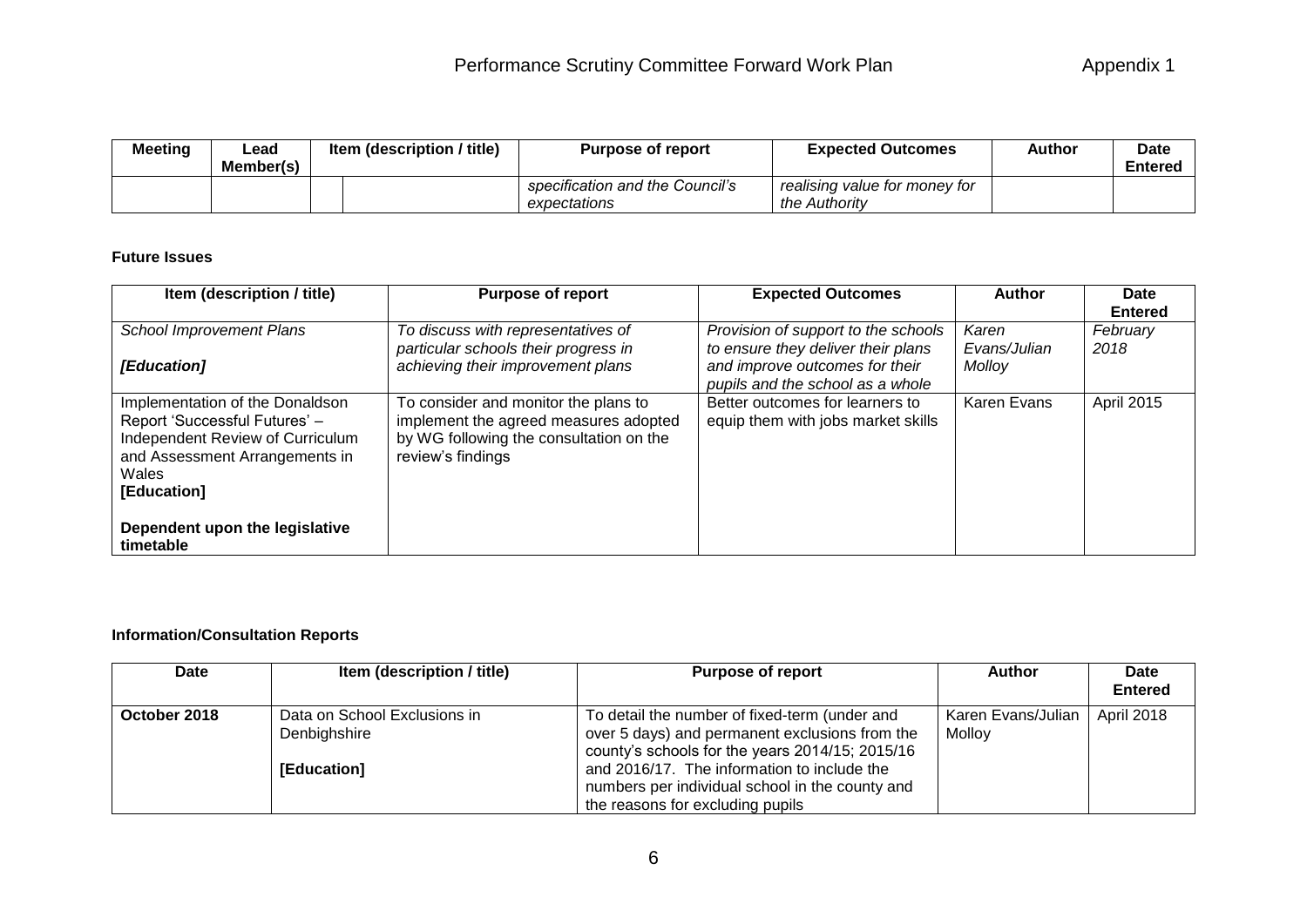| Meeting | Lead<br>Member(s) | Item (description / title) | <b>Purpose of report</b>                        | <b>Expected Outcomes</b>                       | Author | <b>Date</b><br><b>Entered</b> |
|---------|-------------------|----------------------------|-------------------------------------------------|------------------------------------------------|--------|-------------------------------|
|         |                   |                            | specification and the Council's<br>expectations | realising value for money for<br>the Authority |        |                               |

## **Future Issues**

| Item (description / title)                                                                                                                                     | <b>Purpose of report</b>                                                                                                                      | <b>Expected Outcomes</b>                                                  | Author                | Date<br><b>Entered</b> |
|----------------------------------------------------------------------------------------------------------------------------------------------------------------|-----------------------------------------------------------------------------------------------------------------------------------------------|---------------------------------------------------------------------------|-----------------------|------------------------|
| <b>School Improvement Plans</b>                                                                                                                                | To discuss with representatives of<br>particular schools their progress in                                                                    | Provision of support to the schools<br>to ensure they deliver their plans | Karen<br>Evans/Julian | February<br>2018       |
| [Education]                                                                                                                                                    | achieving their improvement plans                                                                                                             | and improve outcomes for their<br>pupils and the school as a whole        | Molloy                |                        |
| Implementation of the Donaldson<br>Report 'Successful Futures' -<br>Independent Review of Curriculum<br>and Assessment Arrangements in<br>Wales<br>[Education] | To consider and monitor the plans to<br>implement the agreed measures adopted<br>by WG following the consultation on the<br>review's findings | Better outcomes for learners to<br>equip them with jobs market skills     | Karen Evans           | April 2015             |
| Dependent upon the legislative<br>timetable                                                                                                                    |                                                                                                                                               |                                                                           |                       |                        |

## **Information/Consultation Reports**

| <b>Date</b>  | Item (description / title)                                  | <b>Purpose of report</b>                                                                                                                                                                                                                                                                 | Author                       | Date<br><b>Entered</b> |
|--------------|-------------------------------------------------------------|------------------------------------------------------------------------------------------------------------------------------------------------------------------------------------------------------------------------------------------------------------------------------------------|------------------------------|------------------------|
| October 2018 | Data on School Exclusions in<br>Denbighshire<br>[Education] | To detail the number of fixed-term (under and<br>over 5 days) and permanent exclusions from the<br>county's schools for the years 2014/15; 2015/16<br>and 2016/17. The information to include the<br>numbers per individual school in the county and<br>the reasons for excluding pupils | Karen Evans/Julian<br>Molloy | April 2018             |